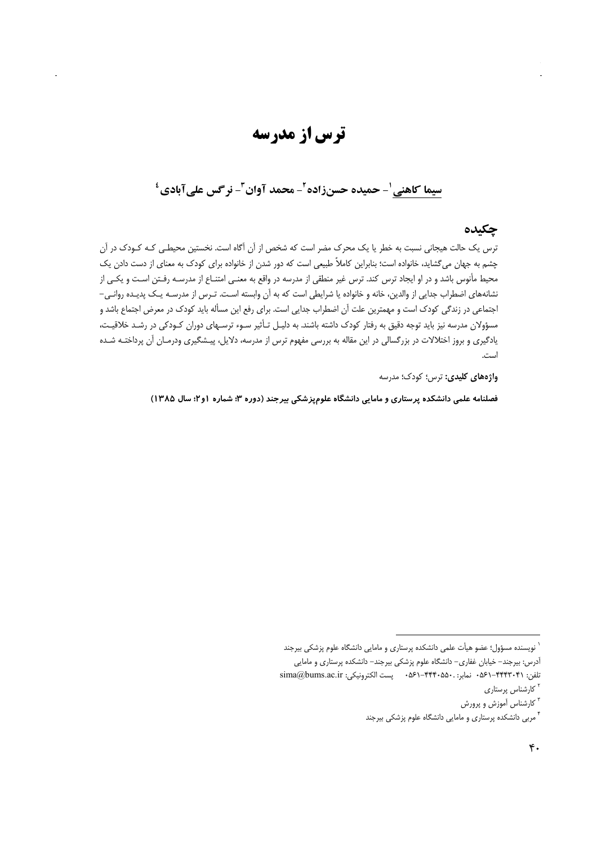# ترس از مدرسه

## سيما كاهني '- حميده حسنزاده ً- محمد آوان ً- نر گس علي آبادي ٔ

## چکیده

ترس یک حالت هیجانی نسبت به خطر یا یک محرک مضر است که شخص از آن آگاه است. نخستین محیطـی کـه کـودک در آن چشم به جهان میگشاید، خانواده است؛ بنابراین کاملاً طبیعی است که دور شدن از خانواده برای کودک به معنای از دست دادن یک محیط مأنوس باشد و در او ایجاد ترس کند. ترس غیر منطقی از مدرسه در واقع به معنـی امتنـاع از مدرسـه رفـتن اسـت و یکـی از نشانههای اضطراب جدایی از والدین، خانه و خانواده یا شرایطی است که به آن وابسته است. تـرس از مدرسـه یـک پدیـده روانـی-اجتماعی در زندگی کودک است و مهمترین علت آن اضطراب جدایی است. برای رفع این مسأله باید کودک در معرض اجتماع باشد و مسؤولان مدرسه نیز باید توجه دقیق به رفتار کودک داشته باشند. به دلیـل تـأثیر سـوء ترسـهای دوران کـودکی در رشـد خلاقیـت، یادگیری و بروز اختلالات در بزرگسالی در این مقاله به بررسی مفهوم ترس از مدرسه، دلایل، پیـشگیری ودرمـان آن پرداختـه شـده است.

**واژههای کلیدی:** ترس؛ کودک؛ مدرسه

فصلنامه علمی دانشکده پرستاری و مامایی دانشگاه علومپزشکی بیرجند (دوره ۳؛ شماره ۱و۲؛ سال ۱۳۸۵)

<sup>&</sup>lt;sup>٬</sup> نویسنده مسؤول؛ عضو هیأت علمی دانشکده پرستاری و مامایی دانشگاه علوم پزشکی بیرجند

آدرس: بیرجند- خیابان غفاری- دانشگاه علوم پزشکی بیرجند- دانشکده پرستاری و مامایی

تلفن: ۰۵۶۱–۴۴۴۳۰۴۱ نمابر: ۰۵۶۰–۴۴۴۰۵۵۰ پست الکترونیکی: sima@bums.ac.ir

<sup>&</sup>lt;sup>۲</sup> کارشناس پرستاری

<sup>&</sup>lt;sup>۳</sup> کارشناس آموزش و پرورش

<sup>&</sup>lt;sup>۴</sup> مربی دانشکده پرستاری و مامایی دانشگاه علوم پزشکی بیرجند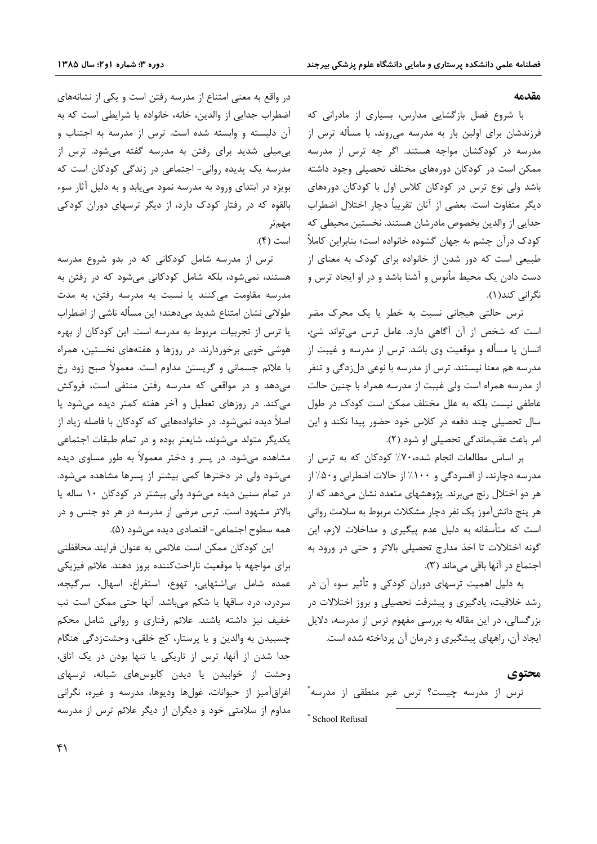#### مقدمه

با شروع فصل بازگشایی مدارس، بسیاری از مادرانی که فرزندشان برای اولین بار به مدرسه میروند، با مسأله ترس از مدرسه در کودکشان مواجه هستند. اگر چه ترس از مدرسه ممکن است در کودکان دورههای مختلف تحصیلی وجود داشته باشد ولی نوع ترس در کودکان کلاس اول با کودکان دورههای دیگر متفاوت است. بعضی از آنان تقریباً دچار اختلال اضطراب جدایی از والدین بخصوص مادرشان هستند. نخستین محیطی که کودک درآن چشم به جهان گشوده خانواده است؛ بنابراین کاملاً طبیعی است که دور شدن از خانواده برای کودک به معنای از دست دادن یک محیط مأنوس و آشنا باشد و در او ایجاد ترس و نگرانی کند(۱).

ترس حالتی هیجانی نسبت به خطر یا یک محرک مضر است که شخص از آن آگاهی دارد. عامل ترس میتواند شئ، انسان یا مسأله و موقعیت وی باشد. ترس از مدرسه و غیبت از مدرسه هم معنا نیستند. ترس از مدرسه با نوعی دلزدگی و تنفر از مدرسه همراه است ولي غيبت از مدرسه همراه با چنين حالت عاطفی نیست بلکه به علل مختلف ممکن است کودک در طول سال تحصیلی چند دفعه در کلاس خود حضور پیدا نکند و این امر باعث عقب ماندگی تحصیلی او شود (٢).

بر اساس مطالعات انجام شده، ۷۰٪ کودکان که به ترس از مدرسه دچارند، از افسردگی و ۱۰۰٪ از حالات اضطرابی و۵۰٪ از هر دو اختلال رنج می برند. پژوهشهای متعدد نشان میدهد که از هر پنج دانشآموز یک نفر دچار مشکلات مربوط به سلامت روانی است که متأسفانه به دلیل عدم پیگیری و مداخلات لازم، این گونه اختلالات تا اخذ مدارج تحصیلی بالاتر و حتی در ورود به اجتماع در آنها باقی می ماند (۳).

به دلیل اهمیت ترسهای دوران کودکی و تأثیر سوء آن در رشد خلاقیت، یادگیری و پیشرفت تحصیلی و بروز اختلالات در بزرگسالی، در این مقاله به بررسی مفهوم ترس از مدرسه، دلایل ایجاد آن، راههای پیشگیری و درمان آن پرداخته شده است.

#### محتوى

ترس از مدرسه چیست؟ ترس غیر منطقی از مدرسه ٌ

\* School Refusal

در واقع به معنی امتناع از مدرسه رفتن است و یکی از نشانههای اضطراب جدایی از والدین، خانه، خانواده یا شرایطی است که به آن دلبسته و وابسته شده است. ترس از مدرسه به اجتناب و بی میلی شدید برای رفتن به مدرسه گفته می شود. ترس از مدرسه یک پدیده روانی- اجتماعی در زندگی کودکان است که بویژه در ابتدای ورود به مدرسه نمود می یابد و به دلیل آثار سوء بالقوه که در رفتار کودک دارد، از دیگر ترسهای دوران کودکی مهمتر است (۴).

ترس از مدرسه شامل کودکانی که در بدو شروع مدرسه هستند، نمیشود، بلکه شامل کودکانی میشود که در رفتن به مدرسه مقاومت میکنند یا نسبت به مدرسه رفتن، به مدت طولانی نشان امتناع شدید میدهند؛ این مسأله ناشی از اضطراب یا ترس از تجربیات مربوط به مدرسه است. این کودکان از بهره هوشی خوبی برخوردارند. در روزها و هفتههای نخستین، همراه با علائم جسمانی و گریستن مداوم است. معمولاً صبح زود رخ میدهد و در مواقعی که مدرسه رفتن منتفی است، فروکش می کند. در روزهای تعطیل و آخر هفته کمتر دیده میشود یا اصلاً دیده نمیشود. در خانوادههایی که کودکان با فاصله زیاد از یکدیگر متولد میشوند، شایعتر بوده و در تمام طبقات اجتماعی مشاهده می شود. در پسر و دختر معمولاً به طور مساوی دیده می شود ولی در دخترها کمی بیشتر از پسرها مشاهده می شود. در تمام سنین دیده میشود ولی بیشتر در کودکان ۱۰ ساله یا بالاتر مشهود است. ترس مرضی از مدرسه در هر دو جنس و در همه سطوح اجتماعي- اقتصادي ديده مي شود (۵).

این کودکان ممکن است علائمی به عنوان فرایند محافظتی برای مواجهه با موقعیت ناراحتکننده بروز دهند. علائم فیزیکی عمده شامل بی اشتهایی، تهوع، استفراغ، اسهال، سرگیجه، سردرد، درد ساقها یا شکم میباشد. آنها حتی ممکن است تب خفیف نیز داشته باشند. علائم رفتاری و روانی شامل محکم چسبیدن به والدین و یا پرستار، کج خلقی، وحشتزدگی هنگام جدا شدن از آنها، ترس از تاریکی یا تنها بودن در یک اتاق، وحشت از خوابیدن یا دیدن کابوسهای شبانه، ترسهای اغراق آمیز از حیوانات، غولها ودیوها، مدرسه و غیره، نگرانی مداوم از سلامتی خود و دیگران از دیگر علائم ترس از مدرسه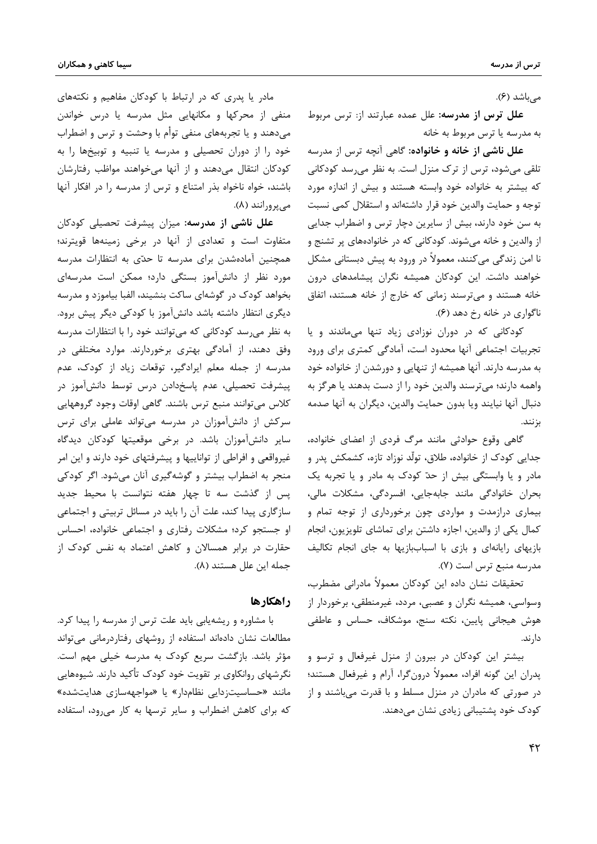مے باشد (۶).

**علل ترس از مدرسه:** علل عمده عبارتند از: ترس مربوط به مدرسه يا ترس مربوط به خانه

**علل ناشی از خانه و خانواده**: گاهی آنچه ترس از مدرسه تلقی میشود، ترس از ترک منزل است. به نظر میرسد کودکانی که بیشتر به خانواده خود وابسته هستند و بیش از اندازه مورد توجه و حمایت والدین خود قرار داشتهاند و استقلال کمی نسبت به سن خود دارند، بیش از سایرین دچار ترس و اضطراب جدایی از والدین و خانه میشوند. کودکانی که در خانوادههای پر تشنج و نا امن زندگی میکنند، معمولاً در ورود به پیش دبستانی مشکل خواهند داشت. این کودکان همیشه نگران پیشامدهای درون خانه هستند و میترسند زمانی که خارج از خانه هستند، اتفاق ناگواري در خانه رخ دهد (۶).

کودکانی که در دوران نوزادی زیاد تنها میماندند و یا تجربیات اجتماعی آنها محدود است، آمادگی کمتری برای ورود به مدرسه دارند. آنها همیشه از تنهایی و دورشدن از خانواده خود واهمه دارند؛ میترسند والدین خود را از دست بدهند یا هرگز به دنبال أنها نيايند ويا بدون حمايت والدين، ديگران به أنها صدمه بزنند.

گاهی وقوع حوادثی مانند مرگ فردی از اعضای خانواده، جدایی کودک از خانواده، طلاق، تولّد نوزاد تازه، کشمکش پدر و مادر و یا وابستگی بیش از حدّ کودک به مادر و یا تجربه یک بحران خانوادگی مانند جابهجایی، افسردگی، مشکلات مالی، بیماری درازمدت و مواردی چون برخورداری از توجه تمام و كمال يكي از والدين، اجازه داشتن براي تماشاي تلويزيون، انجام بازیهای رایانهای و بازی با اسباببازیها به جای انجام تکالیف مدرسه منبع ترس است (٧).

تحقيقات نشان داده اين كودكان معمولاً مادراني مضطرب، وسواسی، همیشه نگران و عصبی، مردد، غیرمنطقی، برخوردار از هوش هيجاني پايين، نكته سنج، موشكاف، حساس و عاطفي دار ند.

بیشتر این کودکان در بیرون از منزل غیرفعال و ترسو و يدران اين گونه افراد، معمولاً درونگرا، آرام و غيرفعال هستند؛ در صورتی که مادران در منزل مسلط و با قدرت میباشند و از کودک خود پشتیبانی زیادی نشان مے،دھند.

مادر یا پدری که در ارتباط با کودکان مفاهیم و نکتههای منفی از محرکها و مکانهایی مثل مدرسه یا درس خواندن میدهند و یا تجربههای منفی توأم با وحشت و ترس و اضطراب خود را از دوران تحصیلی و مدرسه یا تنبیه و توبیخها را به کودکان انتقال میدهند و از آنها میخواهند مواظب رفتارشان باشند، خواه ناخواه بذر امتناع و ترس از مدرسه را در افكار آنها می پرورانند (۸).

**علل ناشی از مدرسه:** میزان پیشرفت تحصیلی کودکان متفاوت است و تعدادی از آنها در برخی زمینهها قویترند؛ همچنین آمادهشدن برای مدرسه تا حدّی به انتظارات مدرسه مورد نظر از دانشآموز بستگی دارد؛ ممکن است مدرسهای بخواهد کودک در گوشهای ساکت بنشیند، الفبا بیاموزد و مدرسه دیگری انتظار داشته باشد دانشآموز با کودکی دیگر پیش برود. به نظر می رسد کودکانی که می توانند خود را با انتظارات مدرسه وفق دهند، از آمادگی بهتری برخوردارند. موارد مختلفی در مدرسه از جمله معلم ایرادگیر، توقعات زیاد از کودک، عدم پیشرفت تحصیلی، عدم پاسخدادن درس توسط دانشآموز در كلاس مىتوانند منبع ترس باشند. گاهى اوقات وجود گروههايى سرکش از دانشآموزان در مدرسه می تواند عاملی برای ترس سایر دانشآموزان باشد. در برخی موقعیتها کودکان دیدگاه غیرواقعی و افراطی از تواناییها و پیشرفتهای خود دارند و این امر منجر به اضطراب بیشتر و گوشهگیری آنان میشود. اگر کودکی پس از گذشت سه تا چهار هفته نتوانست با محیط جدید سازگاری پیدا کند، علت آن را باید در مسائل تربیتی و اجتماعی او جستجو کرد؛ مشکلات رفتاری و اجتماعی خانواده، احساس حقارت در برابر همسالان و کاهش اعتماد به نفس کودک از جمله این علل هستند (۸).

### واهكارها

با مشاوره و ریشهپایی باید علت ترس از مدرسه را پیدا کرد. مطالعات نشان دادهاند استفاده از روشهای رفتاردرمانی میتواند مؤثر باشد. بازگشت سریع کودک به مدرسه خیلی مهم است. نگرشهای روانکاوی بر تقویت خود کودک تأکید دارند. شیوههایی مانند «حساسیتزدایی نظامدار» یا «مواجههسازی هدایتشده» که برای کاهش اضطراب و سایر ترسها به کار می رود، استفاده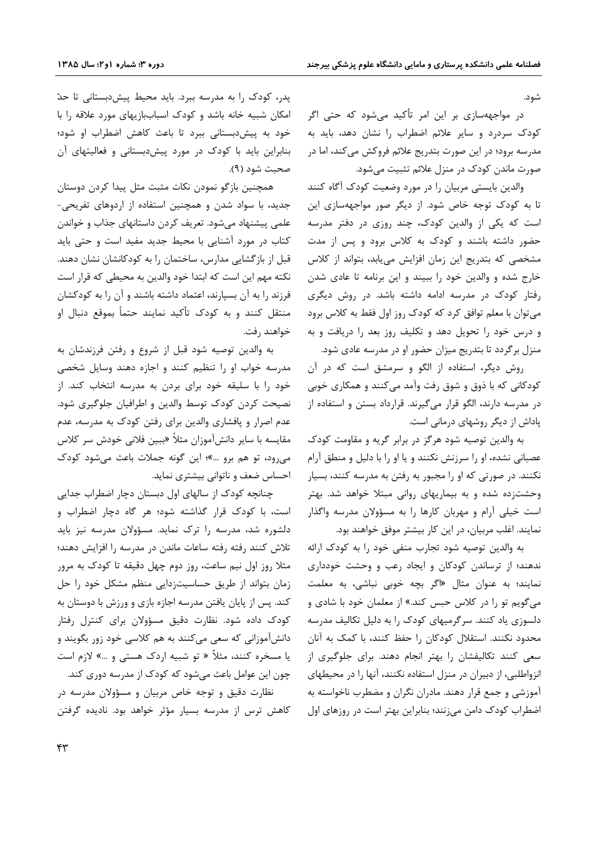شود.

در مواجههسازی بر این امر تأکید میشود که حتی اگر کودک سردرد و سایر علائم اضطراب را نشان دهد، باید به مدرسه برود؛ در این صورت بتدریج علائم فروکش میکند، اما در صورت ماندن کودک در منزل علائم تثبیت میشود.

والدین بایستی مربیان را در مورد وضعیت کودک آگاه کنند تا به کودک توجه خاص شود. از دیگر صور مواجههسازی این است که یکی از والدین کودک، چند روزی در دفتر مدرسه حضور داشته باشند و کودک به کلاس برود و پس از مدت مشخصی که بتدریج این زمان افزایش مییابد، بتواند از کلاس خارج شده و والدین خود را ببیند و این برنامه تا عادی شدن رفتار کودک در مدرسه ادامه داشته باشد. در روش دیگری می توان با معلم توافق کرد که کودک روز اول فقط به کلاس برود و درس خود را تحویل دهد و تکلیف روز بعد را دریافت و به منزل برگردد تا بتدریج میزان حضور او در مدرسه عادی شود.

روش دیگر، استفاده از الگو و سرمشق است که در آن کودکانی که با ذوق و شوق رفت وآمد میکنند و همکاری خوبی در مدرسه دارند، الگو قرار میگیرند. قرارداد بستن و استفاده از پاداش از دیگر روشهای درمانی است.

به والدین توصیه شود هرگز در برابر گریه و مقاومت کودک عصبانی نشده، او را سرزنش نکنند و یا او را با دلیل و منطق آرام نکنند. در صورتی که او را مجبور به رفتن به مدرسه کنند، بسیار وحشتزده شده و به بیماریهای روانی مبتلا خواهد شد. بهتر است خیلی آرام و مهربان کارها را به مسؤولان مدرسه واگذار نمایند. اغلب مربیان، در این کار بیشتر موفق خواهند بود.

به والدین توصیه شود تجارب منفی خود را به کودک ارائه ندهند؛ از ترساندن کودکان و ایجاد رعب و وحشت خودداری نمایند؛ به عنوان مثال «اگر بچه خوبی نباشی، به معلمت می گویم تو را در کلاس حبس کند.» از معلمان خود با شادی و دلسوزی یاد کنند. سرگرمیهای کودک را به دلیل تکالیف مدرسه محدود نکنند. استقلال کودکان را حفظ کنند، با کمک به آنان سعی کنند تکالیفشان را بهتر انجام دهند. برای جلوگیری از انزواطلبی، از دبیران در منزل استفاده نکنند، آنها را در محیطهای آموزشی و جمع قرار دهند. مادران نگران و مضطرب ناخواسته به اضطراب کودک دامن می;نند؛ بنابراین بهتر است در روزهای اول

پدر، کودک را به مدرسه ببرد. باید محیط پیشدبستانی تا حدّ امکان شبیه خانه باشد و کودک اسباببازیهای مورد علاقه را با خود به پیشدبستانی ببرد تا باعث کاهش اضطراب او شود؛ بنابراین باید با کودک در مورد پیش دبستانی و فعالیتهای آن صحبت شود (۹).

همچنین بازگو نمودن نکات مثبت مثل پیدا کردن دوستان جدید، با سواد شدن و همچنین استفاده از اردوهای تفریحی-علمی پیشنهاد میشود. تعریف کردن داستانهای جذاب و خواندن کتاب در مورد آشنایی با محیط جدید مفید است و حتی باید قبل از بازگشایی مدارس، ساختمان را به کودکانشان نشان دهند. نکته مهم این است که ابتدا خود والدین به محیطی که قرار است فرزند را به آن بسپارند، اعتماد داشته باشند و آن را به کودکشان منتقل کنند و به کودک تأکید نمایند حتماً بموقع دنبال او خواهند رفت.

به والدين توصيه شود قبل از شروع و رفتن فرزندشان به مدرسه خواب او را تنظیم کنند و اجازه دهند وسایل شخصی خود را با سلیقه خود برای بردن به مدرسه انتخاب کند. از نصیحت کردن کودک توسط والدین و اطرافیان جلوگیری شود. عدم اصرار و پافشاری والدین برای رفتن کودک به مدرسه، عدم مقایسه با سایر دانشآموزان مثلاً «ببین فلانی خودش سر کلاس می رود، تو هم برو …»؛ این گونه جملات باعث می شود کودک احساس ضعف و ناتوانی بیشتری نماید.

چنانچه کودک از سالهای اول دبستان دچار اضطراب جدایی است، با کودک قرار گذاشته شود؛ هر گاه دچار اضطراب و دلشوره شد، مدرسه را ترک نماید. مسؤولان مدرسه نیز باید تلاش كنند رفته رفته ساعات ماندن در مدرسه را افزايش دهند؛ مثلا روز اول نیم ساعت، روز دوم چهل دقیقه تا کودک به مرور زمان بتواند از طريق حساسيتزدايي منظم مشكل خود را حل کند. پس از پایان یافتن مدرسه اجازه بازی و ورزش با دوستان به کودک داده شود. نظارت دقیق مسؤولان برای کنترل رفتار دانشآموزانی که سعی میکنند به هم کلاسی خود زور بگویند و یا مسخره کنند، مثلاً « تو شبیه اردک هستی و …» لازم است چون این عوامل باعث می شود که کودک از مدرسه دوری کند.

نظارت دقیق و توجه خاص مربیان و مسؤولان مدرسه در کاهش ترس از مدرسه بسیار مؤثر خواهد بود. نادیده گرفتن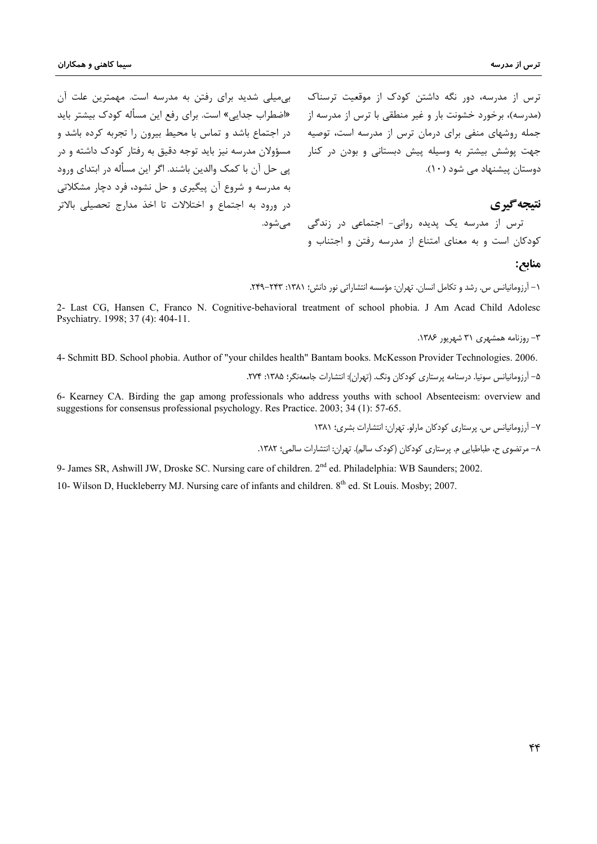ترس از مدرسه، دور نگه داشتن کودک از موقعیت ترسناک میههای شدید برای رفتن به مدرسه است. مهمترین علت آن (مدرسه)، برخورد خشونت بار و غیر منطقی با ترس از مدرسه از معلاق اب جدایی» است. برای رفع این مسأله کودک بیشتر باید در اجتماع باشد و تماس با محیط بیرون را تجربه کرده باشد و مسؤولان مدرسه نیز باید توجه دقیق به رفتار کودک داشته و در پی حل آن با کمک والدین باشند. اگر این مسأله در ابتدای ورود به مدرسه و شروع آن پیگیری و حل نشود، فرد دچار مشکلاتی در ورود به اجتماع و اختلالات تا اخذ مدارج تحصیلی بالاتر مے شود.

جمله روشهای منفی برای درمان ترس از مدرسه است، توصیه جهت پوشش بیشتر به وسیله پیش دبستانی و بودن در کنار دوستان پیشنهاد می شود (١٠).

## نتيجه گيري

ترس از مدرسه یک پدیده روانی- اجتماعی در زندگی کودکان است و به معنای امتناع از مدرسه رفتن و اجتناب و

#### منابح:

١- آرزومانیانس س. رشد و تکامل انسان. تهران: مؤسسه انتشاراتی نور دانش؛ ١٣٨١: ٢۴٣-٢۴٩.

2- Last CG, Hansen C, Franco N. Cognitive-behavioral treatment of school phobia. J Am Acad Child Adolesc Psychiatry. 1998; 37 (4): 404-11.

۳- روزنامه همشهری ۳۱ شهریور ۱۳۸۶.

4- Schmitt BD, School phobia. Author of "your childes health" Bantam books. McKesson Provider Technologies, 2006.

۵– آرزومانیانس سونیا. درسنامه پرستاری کودکان ونگ. (تهران): انتشارات جامعهنگر؛ ۱۳۸۵: ۲۷۴.

6- Kearney CA. Birding the gap among professionals who address youths with school Absenteeism: overview and suggestions for consensus professional psychology. Res Practice. 2003; 34 (1): 57-65.

۷– آرزومانیانس س. پرستاری کودکان مارلو. تهران: انتشارات بشری؛ ۱۳۸۱

٨- مرتضوی ح، طباطبایی م. پرستاری کودکان (کودک سالم). تهران: انتشارات سالمی؛ ١٣٨٢.

9- James SR, Ashwill JW, Droske SC. Nursing care of children. 2<sup>nd</sup> ed. Philadelphia: WB Saunders; 2002.

10- Wilson D, Huckleberry MJ. Nursing care of infants and children. 8<sup>th</sup> ed. St Louis. Mosby; 2007.